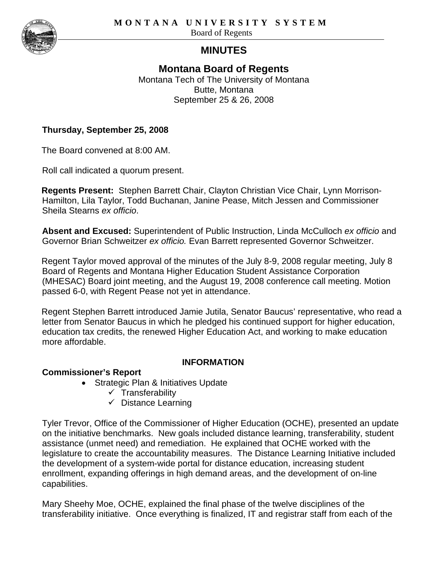

**MONTANA UNIVERSITY SYSTEM** 

Board of Regents

# **MINUTES**

# **Montana Board of Regents**

Montana Tech of The University of Montana Butte, Montana September 25 & 26, 2008

## **Thursday, September 25, 2008**

The Board convened at 8:00 AM.

Roll call indicated a quorum present.

**Regents Present:** Stephen Barrett Chair, Clayton Christian Vice Chair, Lynn Morrison-Hamilton, Lila Taylor, Todd Buchanan, Janine Pease, Mitch Jessen and Commissioner Sheila Stearns *ex officio*.

**Absent and Excused:** Superintendent of Public Instruction, Linda McCulloch *ex officio* and Governor Brian Schweitzer *ex officio.* Evan Barrett represented Governor Schweitzer.

Regent Taylor moved approval of the minutes of the July 8-9, 2008 regular meeting, July 8 Board of Regents and Montana Higher Education Student Assistance Corporation (MHESAC) Board joint meeting, and the August 19, 2008 conference call meeting. Motion passed 6-0, with Regent Pease not yet in attendance.

Regent Stephen Barrett introduced Jamie Jutila, Senator Baucus' representative, who read a letter from Senator Baucus in which he pledged his continued support for higher education, education tax credits, the renewed Higher Education Act, and working to make education more affordable.

# **Commissioner's Report**

# **INFORMATION**

- Strategic Plan & Initiatives Update
	- $\checkmark$  Transferability
	- $\checkmark$  Distance Learning

Tyler Trevor, Office of the Commissioner of Higher Education (OCHE), presented an update on the initiative benchmarks. New goals included distance learning, transferability, student assistance (unmet need) and remediation. He explained that OCHE worked with the legislature to create the accountability measures. The Distance Learning Initiative included the development of a system-wide portal for distance education, increasing student enrollment, expanding offerings in high demand areas, and the development of on-line capabilities.

Mary Sheehy Moe, OCHE, explained the final phase of the twelve disciplines of the transferability initiative. Once everything is finalized, IT and registrar staff from each of the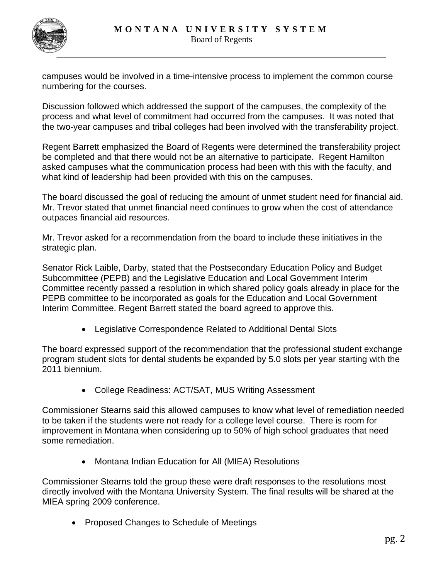

campuses would be involved in a time-intensive process to implement the common course numbering for the courses.

Discussion followed which addressed the support of the campuses, the complexity of the process and what level of commitment had occurred from the campuses. It was noted that the two-year campuses and tribal colleges had been involved with the transferability project.

Regent Barrett emphasized the Board of Regents were determined the transferability project be completed and that there would not be an alternative to participate. Regent Hamilton asked campuses what the communication process had been with this with the faculty, and what kind of leadership had been provided with this on the campuses.

The board discussed the goal of reducing the amount of unmet student need for financial aid. Mr. Trevor stated that unmet financial need continues to grow when the cost of attendance outpaces financial aid resources.

Mr. Trevor asked for a recommendation from the board to include these initiatives in the strategic plan.

Senator Rick Laible, Darby, stated that the Postsecondary Education Policy and Budget Subcommittee (PEPB) and the Legislative Education and Local Government Interim Committee recently passed a resolution in which shared policy goals already in place for the PEPB committee to be incorporated as goals for the Education and Local Government Interim Committee. Regent Barrett stated the board agreed to approve this.

• Legislative Correspondence Related to Additional Dental Slots

The board expressed support of the recommendation that the professional student exchange program student slots for dental students be expanded by 5.0 slots per year starting with the 2011 biennium.

• College Readiness: ACT/SAT, MUS Writing Assessment

Commissioner Stearns said this allowed campuses to know what level of remediation needed to be taken if the students were not ready for a college level course. There is room for improvement in Montana when considering up to 50% of high school graduates that need some remediation.

• Montana Indian Education for All (MIEA) Resolutions

Commissioner Stearns told the group these were draft responses to the resolutions most directly involved with the Montana University System. The final results will be shared at the MIEA spring 2009 conference.

• Proposed Changes to Schedule of Meetings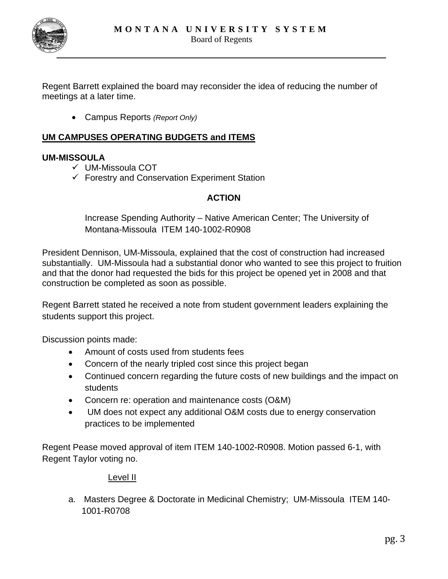

Regent Barrett explained the board may reconsider the idea of reducing the number of meetings at a later time.

• Campus Reports *(Report Only)*

## **UM CAMPUSES OPERATING BUDGETS and ITEMS**

#### **UM-MISSOULA**

- $\checkmark$  UM-Missoula COT
- $\checkmark$  Forestry and Conservation Experiment Station

### **ACTION**

Increase Spending Authority – Native American Center; The University of Montana-Missoula ITEM 140-1002-R0908

President Dennison, UM-Missoula, explained that the cost of construction had increased substantially. UM-Missoula had a substantial donor who wanted to see this project to fruition and that the donor had requested the bids for this project be opened yet in 2008 and that construction be completed as soon as possible.

Regent Barrett stated he received a note from student government leaders explaining the students support this project.

Discussion points made:

- Amount of costs used from students fees
- Concern of the nearly tripled cost since this project began
- Continued concern regarding the future costs of new buildings and the impact on students
- Concern re: operation and maintenance costs (O&M)
- UM does not expect any additional O&M costs due to energy conservation practices to be implemented

Regent Pease moved approval of item ITEM 140-1002-R0908. Motion passed 6-1, with Regent Taylor voting no.

#### Level II

a. Masters Degree & Doctorate in Medicinal Chemistry; UM-Missoula ITEM 140- 1001-R0708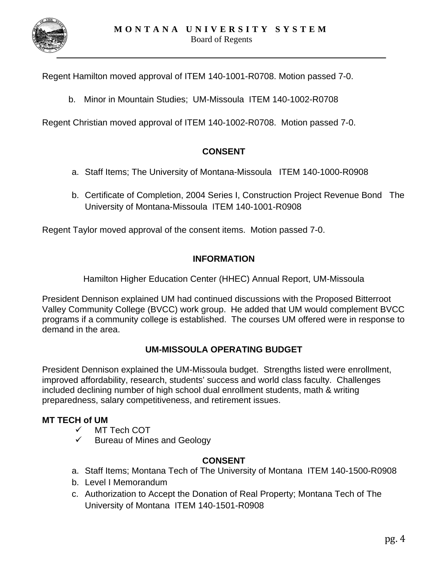

Regent Hamilton moved approval of ITEM 140-1001-R0708. Motion passed 7-0.

b. Minor in Mountain Studies; UM-Missoula ITEM 140-1002-R0708

Regent Christian moved approval of ITEM 140-1002-R0708. Motion passed 7-0.

#### **CONSENT**

- a. Staff Items; The University of Montana-Missoula ITEM 140-1000-R0908
- b. Certificate of Completion, 2004 Series I, Construction Project Revenue Bond The University of Montana-Missoula ITEM 140-1001-R0908

Regent Taylor moved approval of the consent items. Motion passed 7-0.

### **INFORMATION**

Hamilton Higher Education Center (HHEC) Annual Report, UM-Missoula

President Dennison explained UM had continued discussions with the Proposed Bitterroot Valley Community College (BVCC) work group. He added that UM would complement BVCC programs if a community college is established. The courses UM offered were in response to demand in the area.

#### **UM-MISSOULA OPERATING BUDGET**

President Dennison explained the UM-Missoula budget. Strengths listed were enrollment, improved affordability, research, students' success and world class faculty. Challenges included declining number of high school dual enrollment students, math & writing preparedness, salary competitiveness, and retirement issues.

#### **MT TECH of UM**

- $\checkmark$  MT Tech COT
- $\checkmark$  Bureau of Mines and Geology

## **CONSENT**

- a. Staff Items; Montana Tech of The University of Montana ITEM 140-1500-R0908
- b. Level I Memorandum
- c. Authorization to Accept the Donation of Real Property; Montana Tech of The University of Montana ITEM 140-1501-R0908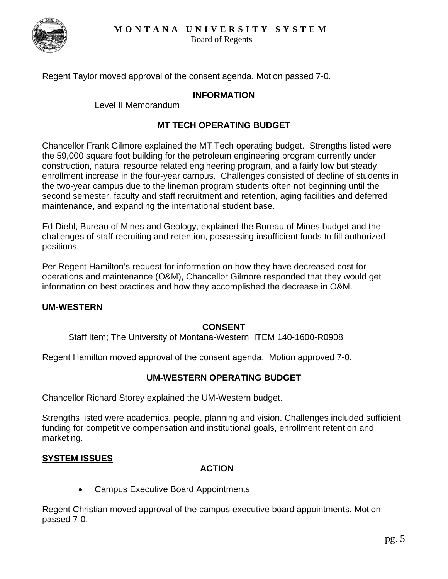

Regent Taylor moved approval of the consent agenda. Motion passed 7-0.

#### **INFORMATION**

Level II Memorandum

### **MT TECH OPERATING BUDGET**

Chancellor Frank Gilmore explained the MT Tech operating budget. Strengths listed were the 59,000 square foot building for the petroleum engineering program currently under construction, natural resource related engineering program, and a fairly low but steady enrollment increase in the four-year campus. Challenges consisted of decline of students in the two-year campus due to the lineman program students often not beginning until the second semester, faculty and staff recruitment and retention, aging facilities and deferred maintenance, and expanding the international student base.

Ed Diehl, Bureau of Mines and Geology, explained the Bureau of Mines budget and the challenges of staff recruiting and retention, possessing insufficient funds to fill authorized positions.

Per Regent Hamilton's request for information on how they have decreased cost for operations and maintenance (O&M), Chancellor Gilmore responded that they would get information on best practices and how they accomplished the decrease in O&M.

#### **UM-WESTERN**

#### **CONSENT**

Staff Item; The University of Montana-Western ITEM 140-1600-R0908

Regent Hamilton moved approval of the consent agenda. Motion approved 7-0.

#### **UM-WESTERN OPERATING BUDGET**

Chancellor Richard Storey explained the UM-Western budget.

Strengths listed were academics, people, planning and vision. Challenges included sufficient funding for competitive compensation and institutional goals, enrollment retention and marketing.

#### **SYSTEM ISSUES**

#### **ACTION**

• Campus Executive Board Appointments

Regent Christian moved approval of the campus executive board appointments. Motion passed 7-0.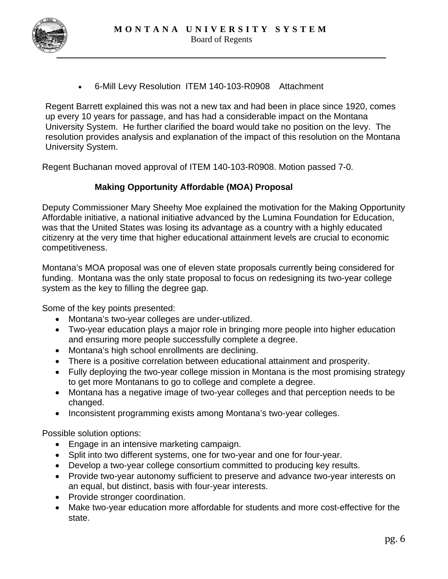

• 6-Mill Levy Resolution ITEM 140-103-R0908 Attachment

Regent Barrett explained this was not a new tax and had been in place since 1920, comes up every 10 years for passage, and has had a considerable impact on the Montana University System. He further clarified the board would take no position on the levy. The resolution provides analysis and explanation of the impact of this resolution on the Montana University System.

Regent Buchanan moved approval of ITEM 140-103-R0908. Motion passed 7-0.

# **Making Opportunity Affordable (MOA) Proposal**

Deputy Commissioner Mary Sheehy Moe explained the motivation for the Making Opportunity Affordable initiative, a national initiative advanced by the Lumina Foundation for Education, was that the United States was losing its advantage as a country with a highly educated citizenry at the very time that higher educational attainment levels are crucial to economic competitiveness.

Montana's MOA proposal was one of eleven state proposals currently being considered for funding. Montana was the only state proposal to focus on redesigning its two-year college system as the key to filling the degree gap.

Some of the key points presented:

- Montana's two-year colleges are under-utilized.
- Two-year education plays a major role in bringing more people into higher education and ensuring more people successfully complete a degree.
- Montana's high school enrollments are declining.
- There is a positive correlation between educational attainment and prosperity.
- Fully deploying the two-year college mission in Montana is the most promising strategy to get more Montanans to go to college and complete a degree.
- Montana has a negative image of two-year colleges and that perception needs to be changed.
- Inconsistent programming exists among Montana's two-year colleges.

Possible solution options:

- Engage in an intensive marketing campaign.
- Split into two different systems, one for two-year and one for four-year.
- Develop a two-year college consortium committed to producing key results.
- Provide two-year autonomy sufficient to preserve and advance two-year interests on an equal, but distinct, basis with four-year interests.
- Provide stronger coordination.
- Make two-year education more affordable for students and more cost-effective for the state.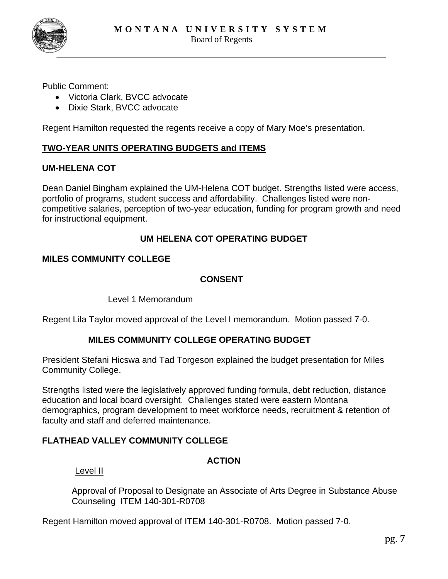

Public Comment:

- Victoria Clark, BVCC advocate
- Dixie Stark, BVCC advocate

Regent Hamilton requested the regents receive a copy of Mary Moe's presentation.

# **TWO-YEAR UNITS OPERATING BUDGETS and ITEMS**

# **UM-HELENA COT**

Dean Daniel Bingham explained the UM-Helena COT budget. Strengths listed were access, portfolio of programs, student success and affordability. Challenges listed were noncompetitive salaries, perception of two-year education, funding for program growth and need for instructional equipment.

# **UM HELENA COT OPERATING BUDGET**

# **MILES COMMUNITY COLLEGE**

# **CONSENT**

Level 1 Memorandum

Regent Lila Taylor moved approval of the Level I memorandum. Motion passed 7-0.

# **MILES COMMUNITY COLLEGE OPERATING BUDGET**

President Stefani Hicswa and Tad Torgeson explained the budget presentation for Miles Community College.

Strengths listed were the legislatively approved funding formula, debt reduction, distance education and local board oversight. Challenges stated were eastern Montana demographics, program development to meet workforce needs, recruitment & retention of faculty and staff and deferred maintenance.

# **FLATHEAD VALLEY COMMUNITY COLLEGE**

# **ACTION**

Level II

Approval of Proposal to Designate an Associate of Arts Degree in Substance Abuse Counseling ITEM 140-301-R0708

Regent Hamilton moved approval of ITEM 140-301-R0708. Motion passed 7-0.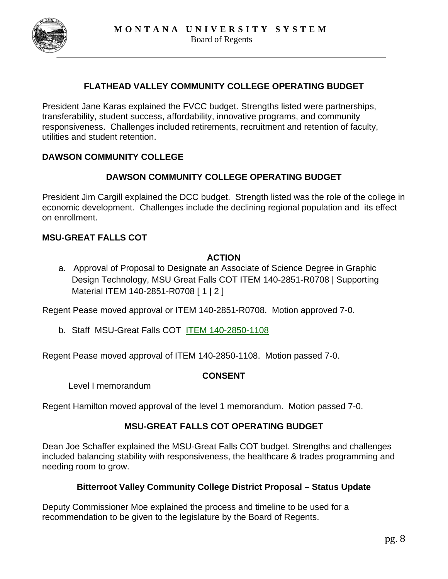

# **FLATHEAD VALLEY COMMUNITY COLLEGE OPERATING BUDGET**

President Jane Karas explained the FVCC budget. Strengths listed were partnerships, transferability, student success, affordability, innovative programs, and community responsiveness. Challenges included retirements, recruitment and retention of faculty, utilities and student retention.

### **DAWSON COMMUNITY COLLEGE**

## **DAWSON COMMUNITY COLLEGE OPERATING BUDGET**

President Jim Cargill explained the DCC budget. Strength listed was the role of the college in economic development. Challenges include the declining regional population and its effect on enrollment.

### **MSU-GREAT FALLS COT**

#### **ACTION**

a. Approval of Proposal to Designate an Associate of Science Degree in Graphic Design Technology, MSU Great Falls COT [ITEM 140-2851-R0708](http://mus.edu/board/meetings/2008/Sept08/TwoYear/ITEM140-2851-R0708.pdf) | Supporting Material ITEM 140-2851-R0708 [ [1](http://mus.edu/board/meetings/2008/Sept08/TwoYear/ITEM140-2851-0908_sm1.pdf) | [2](http://mus.edu/board/meetings/2008/Sept08/TwoYear/ITEM140-2851-0908_sm2.pdf) ]

Regent Pease moved approval or ITEM 140-2851-R0708. Motion approved 7-0.

b. Staff MSU-Great Falls COT [ITEM 140-2850-1108](http://mus.edu/board/meetings/2008/Sept08/TwoYear/ITEM140-2850-1108.pdf) 

Regent Pease moved approval of ITEM 140-2850-1108. Motion passed 7-0.

#### **CONSENT**

Level I memorandum

Regent Hamilton moved approval of the level 1 memorandum. Motion passed 7-0.

## **MSU-GREAT FALLS COT OPERATING BUDGET**

Dean Joe Schaffer explained the MSU-Great Falls COT budget. Strengths and challenges included balancing stability with responsiveness, the healthcare & trades programming and needing room to grow.

#### **Bitterroot Valley Community College District Proposal – Status Update**

Deputy Commissioner Moe explained the process and timeline to be used for a recommendation to be given to the legislature by the Board of Regents.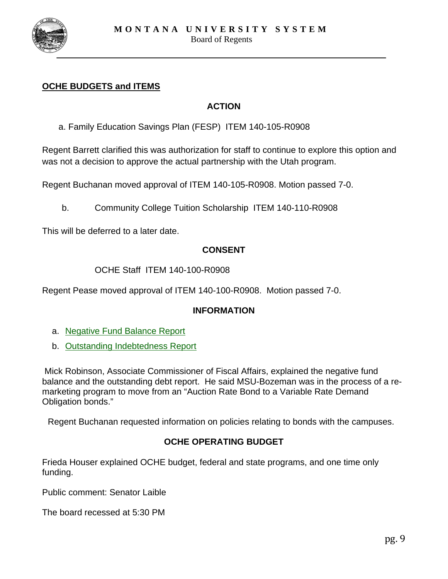

# **OCHE BUDGETS and ITEMS**

# **ACTION**

a. Family Education Savings Plan (FESP) ITEM 140-105-R0908

Regent Barrett clarified this was authorization for staff to continue to explore this option and was not a decision to approve the actual partnership with the Utah program.

Regent Buchanan moved approval of ITEM 140-105-R0908. Motion passed 7-0.

b. Community College Tuition Scholarship ITEM 140-110-R0908

This will be deferred to a later date.

### **CONSENT**

OCHE Staff ITEM 140-100-R0908

Regent Pease moved approval of ITEM 140-100-R0908. Motion passed 7-0.

#### **INFORMATION**

- a. [Negative Fund Balance Report](http://mus.edu/board/meetings/2008/Sept08/OCHE/FYE2008_Neg_Fund_Balance.pdf)
- b. [Outstanding Indebtedness Report](http://mus.edu/board/meetings/2008/Sept08/OCHE/FYE2008_Outstanding_debt.pdf)

 Mick Robinson, Associate Commissioner of Fiscal Affairs, explained the negative fund balance and the outstanding debt report. He said MSU-Bozeman was in the process of a remarketing program to move from an "Auction Rate Bond to a Variable Rate Demand Obligation bonds."

Regent Buchanan requested information on policies relating to bonds with the campuses.

## **OCHE OPERATING BUDGET**

Frieda Houser explained OCHE budget, federal and state programs, and one time only funding.

Public comment: Senator Laible

The board recessed at 5:30 PM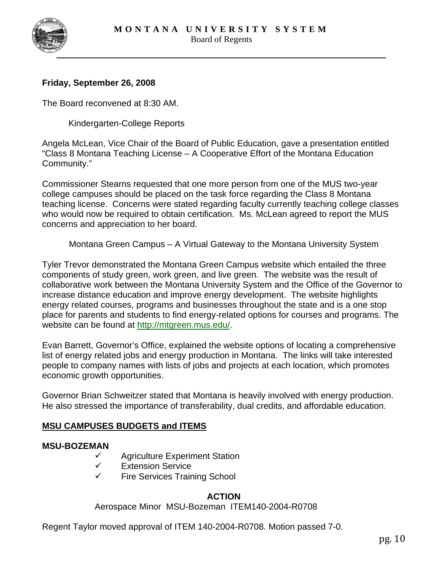

## **Friday, September 26, 2008**

The Board reconvened at 8:30 AM.

Kindergarten-College Reports

Angela McLean, Vice Chair of the Board of Public Education, gave a presentation entitled "Class 8 Montana Teaching License – A Cooperative Effort of the Montana Education Community."

Commissioner Stearns requested that one more person from one of the MUS two-year college campuses should be placed on the task force regarding the Class 8 Montana teaching license. Concerns were stated regarding faculty currently teaching college classes who would now be required to obtain certification. Ms. McLean agreed to report the MUS concerns and appreciation to her board.

Montana Green Campus – A Virtual Gateway to the Montana University System

Tyler Trevor demonstrated the Montana Green Campus website which entailed the three components of study green, work green, and live green. The website was the result of collaborative work between the Montana University System and the Office of the Governor to increase distance education and improve energy development. The website highlights energy related courses, programs and businesses throughout the state and is a one stop place for parents and students to find energy-related options for courses and programs. The website can be found at <http://mtgreen.mus.edu/>.

Evan Barrett, Governor's Office, explained the website options of locating a comprehensive list of energy related jobs and energy production in Montana. The links will take interested people to company names with lists of jobs and projects at each location, which promotes economic growth opportunities.

Governor Brian Schweitzer stated that Montana is heavily involved with energy production. He also stressed the importance of transferability, dual credits, and affordable education.

## **MSU CAMPUSES BUDGETS and ITEMS**

## **MSU-BOZEMAN**

- $\checkmark$  Agriculture Experiment Station
- **The Featension Service<br>The Services Train**
- 9 Fire Services Training School

#### **ACTION**

Aerospace Minor MSU-Bozeman ITEM140-2004-R0708

Regent Taylor moved approval of ITEM 140-2004-R0708. Motion passed 7-0.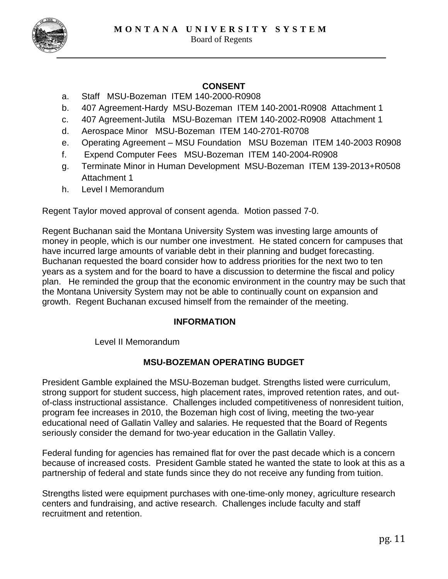

## **CONSENT**

- a. Staff MSU-Bozeman ITEM 140-2000-R0908
- b. 407 Agreement-Hardy MSU-Bozeman ITEM 140-2001-R0908 Attachment 1
- c. 407 Agreement-Jutila MSU-Bozeman ITEM 140-2002-R0908 Attachment 1
- d. Aerospace Minor MSU-Bozeman ITEM 140-2701-R0708
- e. Operating Agreement MSU Foundation MSU Bozeman ITEM 140-2003 R0908
- f. Expend Computer Fees MSU-Bozeman ITEM 140-2004-R0908
- g. Terminate Minor in Human Development MSU-Bozeman ITEM 139-2013+R0508 Attachment 1
- h. Level I Memorandum

Regent Taylor moved approval of consent agenda. Motion passed 7-0.

Regent Buchanan said the Montana University System was investing large amounts of money in people, which is our number one investment. He stated concern for campuses that have incurred large amounts of variable debt in their planning and budget forecasting. Buchanan requested the board consider how to address priorities for the next two to ten years as a system and for the board to have a discussion to determine the fiscal and policy plan. He reminded the group that the economic environment in the country may be such that the Montana University System may not be able to continually count on expansion and growth. Regent Buchanan excused himself from the remainder of the meeting.

## **INFORMATION**

Level II Memorandum

## **MSU-BOZEMAN OPERATING BUDGET**

President Gamble explained the MSU-Bozeman budget. Strengths listed were curriculum, strong support for student success, high placement rates, improved retention rates, and outof-class instructional assistance. Challenges included competitiveness of nonresident tuition, program fee increases in 2010, the Bozeman high cost of living, meeting the two-year educational need of Gallatin Valley and salaries. He requested that the Board of Regents seriously consider the demand for two-year education in the Gallatin Valley.

Federal funding for agencies has remained flat for over the past decade which is a concern because of increased costs. President Gamble stated he wanted the state to look at this as a partnership of federal and state funds since they do not receive any funding from tuition.

Strengths listed were equipment purchases with one-time-only money, agriculture research centers and fundraising, and active research. Challenges include faculty and staff recruitment and retention.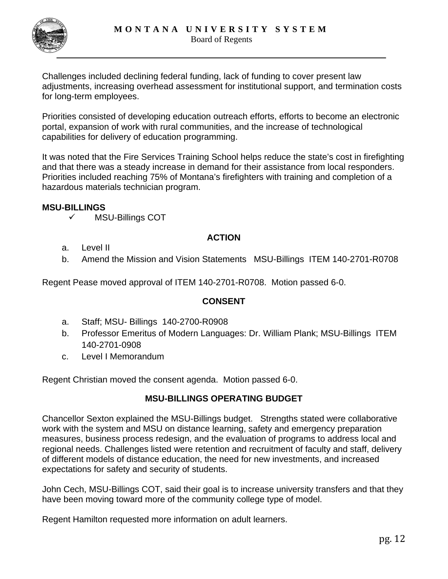

Challenges included declining federal funding, lack of funding to cover present law adjustments, increasing overhead assessment for institutional support, and termination costs for long-term employees.

Priorities consisted of developing education outreach efforts, efforts to become an electronic portal, expansion of work with rural communities, and the increase of technological capabilities for delivery of education programming.

It was noted that the Fire Services Training School helps reduce the state's cost in firefighting and that there was a steady increase in demand for their assistance from local responders. Priorities included reaching 75% of Montana's firefighters with training and completion of a hazardous materials technician program.

#### **MSU-BILLINGS**

 $\checkmark$  MSU-Billings COT

## **ACTION**

- a. Level II
- b. Amend the Mission and Vision Statements MSU-Billings ITEM 140-2701-R0708

Regent Pease moved approval of ITEM 140-2701-R0708. Motion passed 6-0.

## **CONSENT**

- a. Staff; MSU- Billings 140-2700-R0908
- b. Professor Emeritus of Modern Languages: Dr. William Plank; MSU-Billings ITEM 140-2701-0908
- c. Level I Memorandum

Regent Christian moved the consent agenda. Motion passed 6-0.

## **MSU-BILLINGS OPERATING BUDGET**

Chancellor Sexton explained the MSU-Billings budget. Strengths stated were collaborative work with the system and MSU on distance learning, safety and emergency preparation measures, business process redesign, and the evaluation of programs to address local and regional needs. Challenges listed were retention and recruitment of faculty and staff, delivery of different models of distance education, the need for new investments, and increased expectations for safety and security of students.

John Cech, MSU-Billings COT, said their goal is to increase university transfers and that they have been moving toward more of the community college type of model.

Regent Hamilton requested more information on adult learners.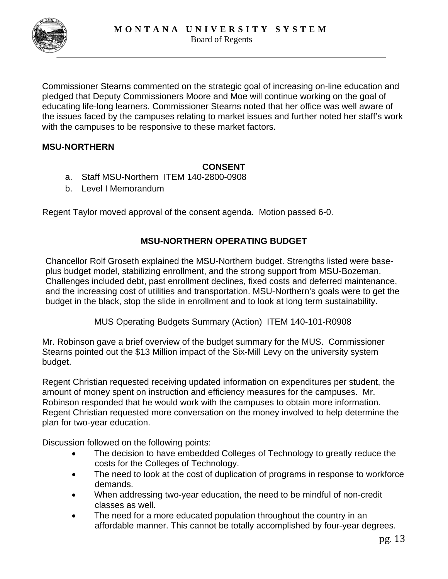

Commissioner Stearns commented on the strategic goal of increasing on-line education and pledged that Deputy Commissioners Moore and Moe will continue working on the goal of educating life-long learners. Commissioner Stearns noted that her office was well aware of the issues faced by the campuses relating to market issues and further noted her staff's work with the campuses to be responsive to these market factors.

# **MSU-NORTHERN**

# **CONSENT**

- a. Staff MSU-Northern ITEM 140-2800-0908
- b. Level I Memorandum

Regent Taylor moved approval of the consent agenda. Motion passed 6-0.

# **MSU-NORTHERN OPERATING BUDGET**

Chancellor Rolf Groseth explained the MSU-Northern budget. Strengths listed were baseplus budget model, stabilizing enrollment, and the strong support from MSU-Bozeman. Challenges included debt, past enrollment declines, fixed costs and deferred maintenance, and the increasing cost of utilities and transportation. MSU-Northern's goals were to get the budget in the black, stop the slide in enrollment and to look at long term sustainability.

MUS Operating Budgets Summary (Action) ITEM 140-101-R0908

Mr. Robinson gave a brief overview of the budget summary for the MUS. Commissioner Stearns pointed out the \$13 Million impact of the Six-Mill Levy on the university system budget.

Regent Christian requested receiving updated information on expenditures per student, the amount of money spent on instruction and efficiency measures for the campuses. Mr. Robinson responded that he would work with the campuses to obtain more information. Regent Christian requested more conversation on the money involved to help determine the plan for two-year education.

Discussion followed on the following points:

- The decision to have embedded Colleges of Technology to greatly reduce the costs for the Colleges of Technology.
- The need to look at the cost of duplication of programs in response to workforce demands.
- When addressing two-year education, the need to be mindful of non-credit classes as well.
- The need for a more educated population throughout the country in an affordable manner. This cannot be totally accomplished by four-year degrees.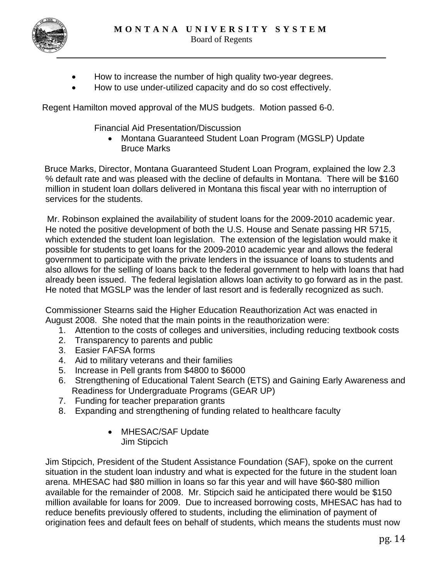

- How to increase the number of high quality two-year degrees.
- How to use under-utilized capacity and do so cost effectively.

Regent Hamilton moved approval of the MUS budgets. Motion passed 6-0.

Financial Aid Presentation/Discussion

• Montana Guaranteed Student Loan Program (MGSLP) Update Bruce Marks

 Bruce Marks, Director, Montana Guaranteed Student Loan Program, explained the low 2.3 % default rate and was pleased with the decline of defaults in Montana. There will be \$160 million in student loan dollars delivered in Montana this fiscal year with no interruption of services for the students.

 Mr. Robinson explained the availability of student loans for the 2009-2010 academic year. He noted the positive development of both the U.S. House and Senate passing HR 5715, which extended the student loan legislation. The extension of the legislation would make it possible for students to get loans for the 2009-2010 academic year and allows the federal government to participate with the private lenders in the issuance of loans to students and also allows for the selling of loans back to the federal government to help with loans that had already been issued. The federal legislation allows loan activity to go forward as in the past. He noted that MGSLP was the lender of last resort and is federally recognized as such.

Commissioner Stearns said the Higher Education Reauthorization Act was enacted in August 2008. She noted that the main points in the reauthorization were:

- 1. Attention to the costs of colleges and universities, including reducing textbook costs
- 2. Transparency to parents and public
- 3. Easier FAFSA forms
- 4. Aid to military veterans and their families
- 5. Increase in Pell grants from \$4800 to \$6000
- 6. Strengthening of Educational Talent Search (ETS) and Gaining Early Awareness and Readiness for Undergraduate Programs (GEAR UP)
- 7. Funding for teacher preparation grants
- 8. Expanding and strengthening of funding related to healthcare faculty
	- MHESAC/SAF Update Jim Stipcich

Jim Stipcich, President of the Student Assistance Foundation (SAF), spoke on the current situation in the student loan industry and what is expected for the future in the student loan arena. MHESAC had \$80 million in loans so far this year and will have \$60-\$80 million available for the remainder of 2008. Mr. Stipcich said he anticipated there would be \$150 million available for loans for 2009. Due to increased borrowing costs, MHESAC has had to reduce benefits previously offered to students, including the elimination of payment of origination fees and default fees on behalf of students, which means the students must now